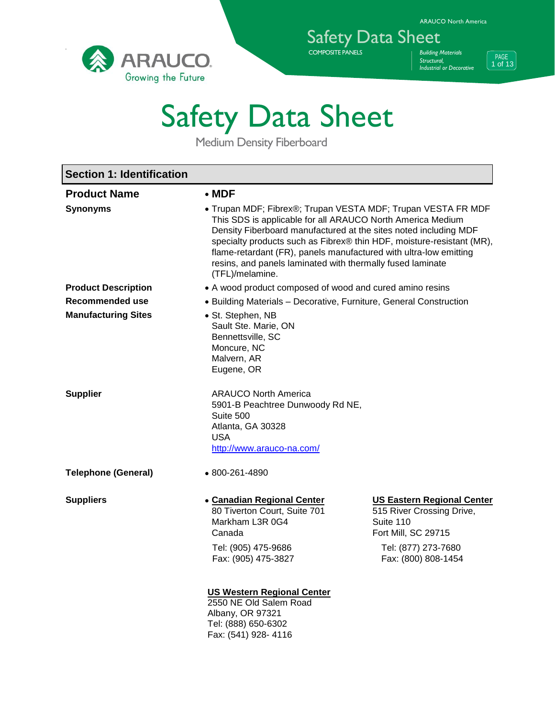



Safety Data Sheet COMPOSITE PANELS *Building Materials*

*Structural, Industrial or Decorative*

PAGE 1 of 13

# Safety Data Sheet

Medium Density Fiberboard

| <b>Section 1: Identification</b> |                                                                                                                                                                                                                                                                                                                                                                                                                               |                                                                                                                                                  |
|----------------------------------|-------------------------------------------------------------------------------------------------------------------------------------------------------------------------------------------------------------------------------------------------------------------------------------------------------------------------------------------------------------------------------------------------------------------------------|--------------------------------------------------------------------------------------------------------------------------------------------------|
| <b>Product Name</b>              | $\cdot$ MDF                                                                                                                                                                                                                                                                                                                                                                                                                   |                                                                                                                                                  |
| <b>Synonyms</b>                  | • Trupan MDF; Fibrex®; Trupan VESTA MDF; Trupan VESTA FR MDF<br>This SDS is applicable for all ARAUCO North America Medium<br>Density Fiberboard manufactured at the sites noted including MDF<br>specialty products such as Fibrex® thin HDF, moisture-resistant (MR),<br>flame-retardant (FR), panels manufactured with ultra-low emitting<br>resins, and panels laminated with thermally fused laminate<br>(TFL)/melamine. |                                                                                                                                                  |
| <b>Product Description</b>       | • A wood product composed of wood and cured amino resins                                                                                                                                                                                                                                                                                                                                                                      |                                                                                                                                                  |
| <b>Recommended use</b>           | • Building Materials - Decorative, Furniture, General Construction                                                                                                                                                                                                                                                                                                                                                            |                                                                                                                                                  |
| <b>Manufacturing Sites</b>       | • St. Stephen, NB<br>Sault Ste. Marie, ON<br>Bennettsville, SC<br>Moncure, NC<br>Malvern, AR<br>Eugene, OR                                                                                                                                                                                                                                                                                                                    |                                                                                                                                                  |
| <b>Supplier</b>                  | ARAUCO North America<br>5901-B Peachtree Dunwoody Rd NE,<br>Suite 500<br>Atlanta, GA 30328<br>USA<br>http://www.arauco-na.com/                                                                                                                                                                                                                                                                                                |                                                                                                                                                  |
| <b>Telephone (General)</b>       | • 800-261-4890                                                                                                                                                                                                                                                                                                                                                                                                                |                                                                                                                                                  |
| <b>Suppliers</b>                 | • Canadian Regional Center<br>80 Tiverton Court, Suite 701<br>Markham L3R 0G4<br>Canada<br>Tel: (905) 475-9686<br>Fax: (905) 475-3827<br><b>US Western Regional Center</b><br>2550 NE Old Salem Road<br>Albany, OR 97321                                                                                                                                                                                                      | <b>US Eastern Regional Center</b><br>515 River Crossing Drive,<br>Suite 110<br>Fort Mill, SC 29715<br>Tel: (877) 273-7680<br>Fax: (800) 808-1454 |
|                                  | Tel: (888) 650-6302<br>Fax: (541) 928-4116                                                                                                                                                                                                                                                                                                                                                                                    |                                                                                                                                                  |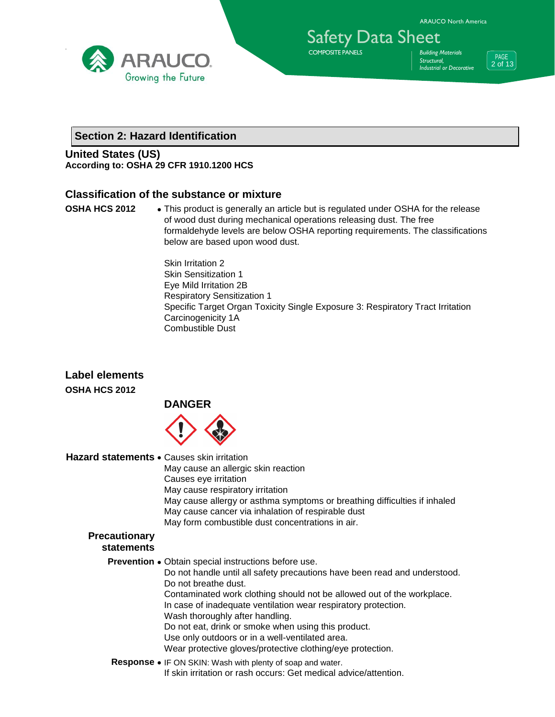

Safety Data Sheet *Structural, Industrial or Decorative*

PAGE 2 of 13

#### **Section 2: Hazard Identification**

**United States (US) According to: OSHA 29 CFR 1910.1200 HCS**

#### **Classification of the substance or mixture**

**OSHA HCS 2012** . This product is generally an article but is regulated under OSHA for the release of wood dust during mechanical operations releasing dust. The free formaldehyde levels are below OSHA reporting requirements. The classifications below are based upon wood dust.

> Skin Irritation 2 Skin Sensitization 1 Eye Mild Irritation 2B Respiratory Sensitization 1 Specific Target Organ Toxicity Single Exposure 3: Respiratory Tract Irritation Carcinogenicity 1A Combustible Dust

COMPOSITE PANELS *Building Materials*

| <b>Label elements</b>                             |                                                                                                                                                                             |
|---------------------------------------------------|-----------------------------------------------------------------------------------------------------------------------------------------------------------------------------|
| <b>OSHA HCS 2012</b>                              | <b>DANGER</b>                                                                                                                                                               |
|                                                   |                                                                                                                                                                             |
| <b>Hazard statements • Causes skin irritation</b> |                                                                                                                                                                             |
|                                                   | May cause an allergic skin reaction                                                                                                                                         |
|                                                   | Causes eye irritation                                                                                                                                                       |
|                                                   | May cause respiratory irritation<br>May cause allergy or asthma symptoms or breathing difficulties if inhaled                                                               |
|                                                   | May cause cancer via inhalation of respirable dust                                                                                                                          |
|                                                   | May form combustible dust concentrations in air.                                                                                                                            |
| <b>Precautionary</b><br><b>statements</b>         |                                                                                                                                                                             |
|                                                   | <b>Prevention •</b> Obtain special instructions before use.                                                                                                                 |
|                                                   | Do not handle until all safety precautions have been read and understood.<br>Do not breathe dust.                                                                           |
|                                                   | Contaminated work clothing should not be allowed out of the workplace.<br>In case of inadequate ventilation wear respiratory protection.<br>Wash thoroughly after handling. |
|                                                   | Do not eat, drink or smoke when using this product.<br>Use only outdoors or in a well-ventilated area.                                                                      |
|                                                   | Wear protective gloves/protective clothing/eye protection.                                                                                                                  |
|                                                   | Response • IF ON SKIN: Wash with plenty of soap and water.<br>If skin irritation or rash occurs: Get medical advice/attention.                                              |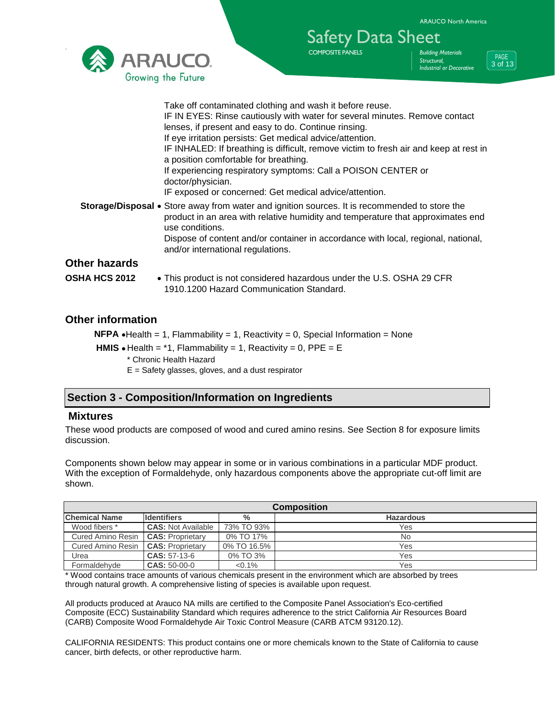ARAUCO North America



COMPOSITE PANELS *Building Materials Structural, Industrial or Decorative*

Safety Data Sheet

PAGE 3 of 13

|                                       | Take off contaminated clothing and wash it before reuse.<br>IF IN EYES: Rinse cautiously with water for several minutes. Remove contact<br>lenses, if present and easy to do. Continue rinsing.<br>If eye irritation persists: Get medical advice/attention.<br>IF INHALED: If breathing is difficult, remove victim to fresh air and keep at rest in<br>a position comfortable for breathing.<br>If experiencing respiratory symptoms: Call a POISON CENTER or<br>doctor/physician.<br>IF exposed or concerned: Get medical advice/attention. |
|---------------------------------------|------------------------------------------------------------------------------------------------------------------------------------------------------------------------------------------------------------------------------------------------------------------------------------------------------------------------------------------------------------------------------------------------------------------------------------------------------------------------------------------------------------------------------------------------|
|                                       | Storage/Disposal • Store away from water and ignition sources. It is recommended to store the<br>product in an area with relative humidity and temperature that approximates end<br>use conditions.<br>Dispose of content and/or container in accordance with local, regional, national,<br>and/or international regulations.                                                                                                                                                                                                                  |
| <b>Other hazards</b><br>OSHA HCS 2012 | • This product is not considered hazardous under the U.S. OSHA 29 CFR<br>1910.1200 Hazard Communication Standard.                                                                                                                                                                                                                                                                                                                                                                                                                              |
|                                       |                                                                                                                                                                                                                                                                                                                                                                                                                                                                                                                                                |

#### **Other information**

**NFPA**  $\bullet$  Health = 1, Flammability = 1, Reactivity = 0, Special Information = None

**HMIS**  $\bullet$  Health =  $*1$ , Flammability = 1, Reactivity = 0, PPE = E

\* Chronic Health Hazard

 $E =$  Safety glasses, gloves, and a dust respirator

#### **Section 3 - Composition/Information on Ingredients**

#### **Mixtures**

These wood products are composed of wood and cured amino resins. See Section 8 for exposure limits discussion.

Components shown below may appear in some or in various combinations in a particular MDF product. With the exception of Formaldehyde, only hazardous components above the appropriate cut-off limit are shown.

| <b>Composition</b>   |                           |               |                  |
|----------------------|---------------------------|---------------|------------------|
| <b>Chemical Name</b> | <b>Identifiers</b>        | $\frac{0}{0}$ | <b>Hazardous</b> |
| Wood fibers *        | <b>CAS: Not Available</b> | 73% TO 93%    | Yes              |
| Cured Amino Resin    | <b>CAS: Proprietary</b>   | 0% TO 17%     | No               |
| Cured Amino Resin    | <b>CAS: Proprietary</b>   | 0% TO 16.5%   | Yes              |
| Urea                 | $CAS: 57-13-6$            | 0% TO 3%      | Yes              |
| Formaldehyde         | <b>CAS: 50-00-0</b>       | $< 0.1\%$     | Yes              |

\* Wood contains trace amounts of various chemicals present in the environment which are absorbed by trees through natural growth. A comprehensive listing of species is available upon request.

All products produced at Arauco NA mills are certified to the Composite Panel Association's Eco-certified Composite (ECC) Sustainability Standard which requires adherence to the strict California Air Resources Board (CARB) Composite Wood Formaldehyde Air Toxic Control Measure (CARB ATCM 93120.12).

CALIFORNIA RESIDENTS: This product contains one or more chemicals known to the State of California to cause cancer, birth defects, or other reproductive harm.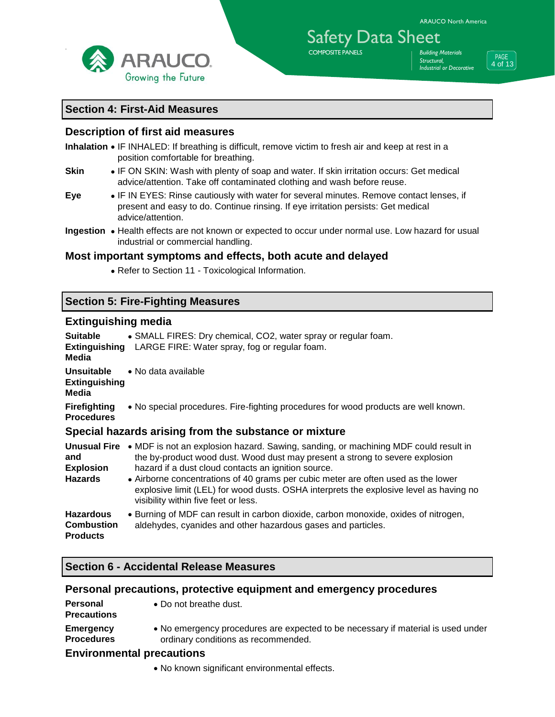

COMPOSITE PANELS *Building Materials Structural, Industrial or Decorative*

Safety Data Sheet

PAGE 4 of 13

#### **Section 4: First-Aid Measures**

#### **Description of first aid measures**

- **Inhalation** IF INHALED: If breathing is difficult, remove victim to fresh air and keep at rest in a position comfortable for breathing.
- **Skin** IF ON SKIN: Wash with plenty of soap and water. If skin irritation occurs: Get medical advice/attention. Take off contaminated clothing and wash before reuse.
- **Eye IF IN EYES: Rinse cautiously with water for several minutes. Remove contact lenses, if** present and easy to do. Continue rinsing. If eye irritation persists: Get medical advice/attention.
- **Ingestion** Health effects are not known or expected to occur under normal use. Low hazard for usual industrial or commercial handling.

#### **Most important symptoms and effects, both acute and delayed**

Refer to Section 11 - Toxicological Information.

#### **Section 5: Fire-Fighting Measures**

#### **Extinguishing media**

| рулын таманы байла                                       |                                                                                                                                                                                                                                                                                                                                                                                                                                                                       |
|----------------------------------------------------------|-----------------------------------------------------------------------------------------------------------------------------------------------------------------------------------------------------------------------------------------------------------------------------------------------------------------------------------------------------------------------------------------------------------------------------------------------------------------------|
| <b>Suitable</b><br><b>Extinguishing</b><br>Media         | • SMALL FIRES: Dry chemical, CO2, water spray or regular foam.<br>LARGE FIRE: Water spray, fog or regular foam.                                                                                                                                                                                                                                                                                                                                                       |
| <b>Unsuitable</b><br><b>Extinguishing</b><br>Media       | • No data available                                                                                                                                                                                                                                                                                                                                                                                                                                                   |
| <b>Firefighting</b><br><b>Procedures</b>                 | • No special procedures. Fire-fighting procedures for wood products are well known.                                                                                                                                                                                                                                                                                                                                                                                   |
|                                                          | Special hazards arising from the substance or mixture                                                                                                                                                                                                                                                                                                                                                                                                                 |
| and<br><b>Explosion</b><br><b>Hazards</b>                | <b>Unusual Fire •</b> MDF is not an explosion hazard. Sawing, sanding, or machining MDF could result in<br>the by-product wood dust. Wood dust may present a strong to severe explosion<br>hazard if a dust cloud contacts an ignition source.<br>• Airborne concentrations of 40 grams per cubic meter are often used as the lower<br>explosive limit (LEL) for wood dusts. OSHA interprets the explosive level as having no<br>visibility within five feet or less. |
| <b>Hazardous</b><br><b>Combustion</b><br><b>Products</b> | • Burning of MDF can result in carbon dioxide, carbon monoxide, oxides of nitrogen,<br>aldehydes, cyanides and other hazardous gases and particles.                                                                                                                                                                                                                                                                                                                   |

#### **Section 6 - Accidental Release Measures**

#### **Personal precautions, protective equipment and emergency procedures**

| Personal<br><b>Precautions</b>        | • Do not breathe dust.                                                                                                  |
|---------------------------------------|-------------------------------------------------------------------------------------------------------------------------|
| <b>Emergency</b><br><b>Procedures</b> | • No emergency procedures are expected to be necessary if material is used under<br>ordinary conditions as recommended. |
| Faidreamachtal meacoilleac            |                                                                                                                         |

#### **Environmental precautions**

• No known significant environmental effects.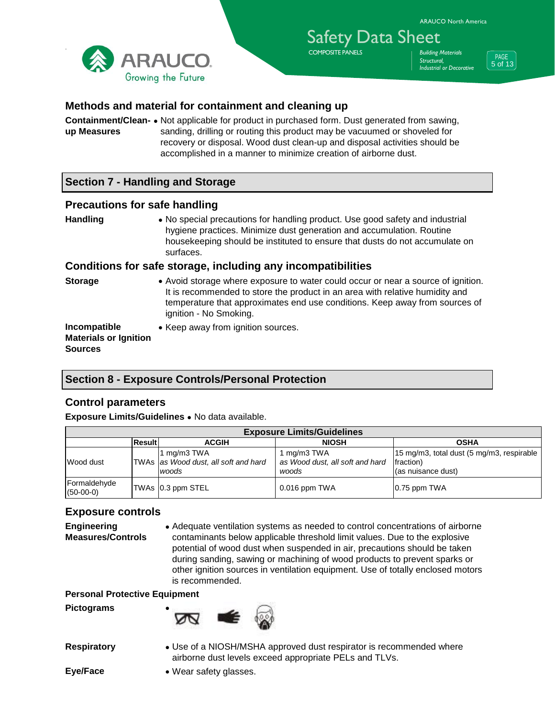

Safety Data Sheet COMPOSITE PANELS *Building Materials Structural, Industrial or Decorative*

PAGE 5 of 13

#### **Methods and material for containment and cleaning up**

**Containment/Clean- •** Not applicable for product in purchased form. Dust generated from sawing, **up Measures** sanding, drilling or routing this product may be vacuumed or shoveled for recovery or disposal. Wood dust clean-up and disposal activities should be accomplished in a manner to minimize creation of airborne dust.

#### **Section 7 - Handling and Storage**

#### **Precautions for safe handling**

**Handling** • No special precautions for handling product. Use good safety and industrial hygiene practices. Minimize dust generation and accumulation. Routine housekeeping should be instituted to ensure that dusts do not accumulate on surfaces.

#### **Conditions for safe storage, including any incompatibilities**

**Storage • Avoid storage where exposure to water could occur or near a source of ignition.** It is recommended to store the product in an area with relative humidity and temperature that approximates end use conditions. Keep away from sources of ignition - No Smoking.

**Incompatible Materials or Ignition Sources** • Keep away from ignition sources.

#### **Section 8 - Exposure Controls/Personal Protection**

#### **Control parameters**

**Exposure Limits/Guidelines . No data available.** 

|                             |        |                                                              | <b>Exposure Limits/Guidelines</b>                     |                                                                              |
|-----------------------------|--------|--------------------------------------------------------------|-------------------------------------------------------|------------------------------------------------------------------------------|
|                             | Result | <b>ACGIH</b>                                                 | <b>NIOSH</b>                                          | <b>OSHA</b>                                                                  |
| Wood dust                   |        | 1 mg/m3 TWA<br>TWAs as Wood dust, all soft and hard<br>woods | mg/m3 TWA<br>as Wood dust, all soft and hard<br>woods | 15 mg/m3, total dust (5 mg/m3, respirable<br>fraction)<br>(as nuisance dust) |
| Formaldehyde<br>$(50-00-0)$ |        | TWAs 0.3 ppm STEL                                            | $0.016$ ppm TWA                                       | $0.75$ ppm TWA                                                               |

#### **Exposure controls**

**Engineering Measures/Controls**  Adequate ventilation systems as needed to control concentrations of airborne contaminants below applicable threshold limit values. Due to the explosive potential of wood dust when suspended in air, precautions should be taken during sanding, sawing or machining of wood products to prevent sparks or other ignition sources in ventilation equipment. Use of totally enclosed motors is recommended.

**Personal Protective Equipment**

**Pictograms**



**Respiratory** • Use of a NIOSH/MSHA approved dust respirator is recommended where airborne dust levels exceed appropriate PELs and TLVs.

**Eye/Face** • Wear safety glasses.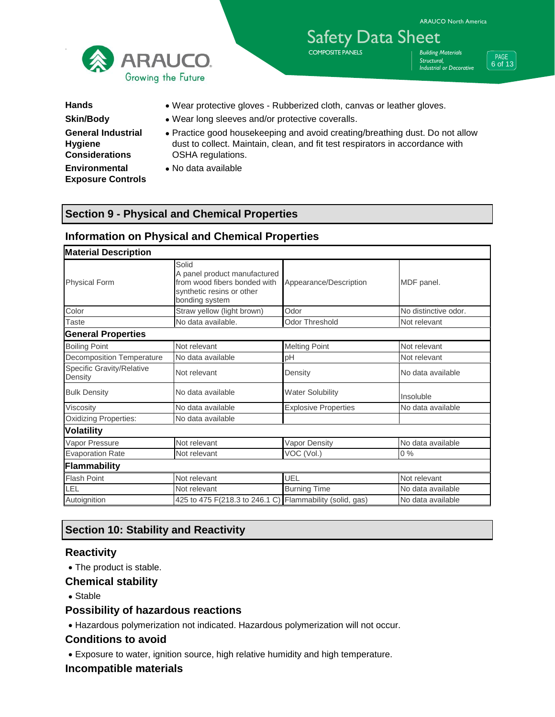

COMPOSITE PANELS *Building Materials Structural, Industrial or Decorative*

**Safety Data Sheet** 



Hands **Interprotective gloves** - Rubberized cloth, canvas or leather gloves. **Skin/Body** • Wear long sleeves and/or protective coveralls. OSHA regulations. No data available

#### **Section 9 - Physical and Chemical Properties**

#### **Information on Physical and Chemical Properties**

| <b>Material Description</b>          |                                                                                                                      |                             |                      |
|--------------------------------------|----------------------------------------------------------------------------------------------------------------------|-----------------------------|----------------------|
| <b>Physical Form</b>                 | Solid<br>A panel product manufactured<br>from wood fibers bonded with<br>synthetic resins or other<br>bonding system | Appearance/Description      | MDF panel.           |
| Color                                | Straw yellow (light brown)                                                                                           | Odor                        | No distinctive odor. |
| <b>Taste</b>                         | No data available.                                                                                                   | Odor Threshold              | Not relevant         |
| <b>General Properties</b>            |                                                                                                                      |                             |                      |
| <b>Boiling Point</b>                 | Not relevant                                                                                                         | <b>Melting Point</b>        | Not relevant         |
| Decomposition Temperature            | No data available                                                                                                    | рH                          | Not relevant         |
| Specific Gravity/Relative<br>Density | Not relevant                                                                                                         | Density                     | No data available    |
| <b>Bulk Density</b>                  | No data available                                                                                                    | <b>Water Solubility</b>     | Insoluble            |
| <b>Viscosity</b>                     | No data available                                                                                                    | <b>Explosive Properties</b> | No data available    |
| <b>Oxidizing Properties:</b>         | No data available                                                                                                    |                             |                      |
| <b>Volatility</b>                    |                                                                                                                      |                             |                      |
| Vapor Pressure                       | Not relevant                                                                                                         | Vapor Density               | No data available    |
| <b>Evaporation Rate</b>              | Not relevant                                                                                                         | VOC (Vol.)                  | $0\%$                |
| Flammability                         |                                                                                                                      |                             |                      |
| <b>Flash Point</b>                   | Not relevant                                                                                                         | UEL                         | Not relevant         |
| LEL                                  | Not relevant                                                                                                         | <b>Burning Time</b>         | No data available    |
| Autoignition                         | 425 to 475 F(218.3 to 246.1 C) Flammability (solid, gas)                                                             |                             | No data available    |

#### **Section 10: Stability and Reactivity**

#### **Reactivity**

The product is stable.

#### **Chemical stability**

- Stable
- **Possibility of hazardous reactions**
- Hazardous polymerization not indicated. Hazardous polymerization will not occur.

#### **Conditions to avoid**

Exposure to water, ignition source, high relative humidity and high temperature.

#### **Incompatible materials**

- **General Industrial Hygiene Considerations Environmental Exposure Controls**
- Practice good housekeeping and avoid creating/breathing dust. Do not allow dust to collect. Maintain, clean, and fit test respirators in accordance with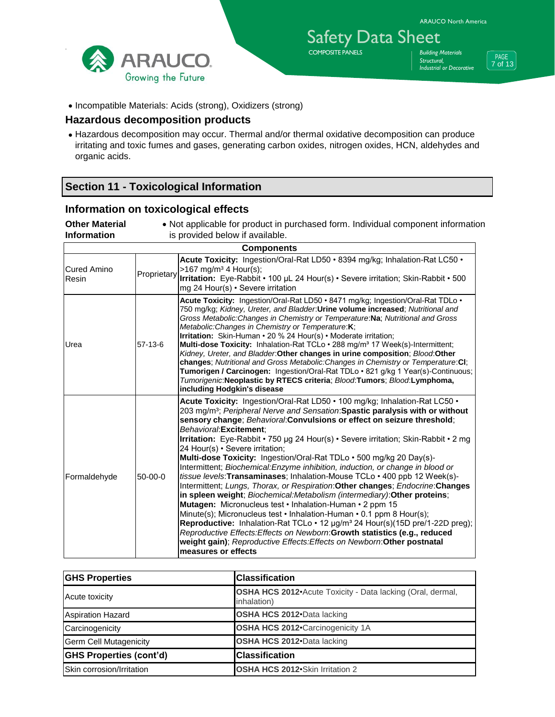



Safety Data Sheet<br> **COMPOSITE PANELS** *Structural, Industrial or Decorative*

PAGE 7 of 13

• Incompatible Materials: Acids (strong), Oxidizers (strong)

#### **Hazardous decomposition products**

 Hazardous decomposition may occur. Thermal and/or thermal oxidative decomposition can produce irritating and toxic fumes and gases, generating carbon oxides, nitrogen oxides, HCN, aldehydes and organic acids.

COMPOSITE PANELS *Building Materials*

Not applicable for product in purchased form. Individual component information

#### **Section 11 - Toxicological Information**

#### **Information on toxicological effects**

**Other Material** 

| <b>Information</b>          |             | is provided below if available.                                                                                                                                                                                                                                                                                                                                                                                                                                                                                                                                                                                                                                                                                                                                                                                                                                                                                                                                                                                                                                                                                                                                                                                           |
|-----------------------------|-------------|---------------------------------------------------------------------------------------------------------------------------------------------------------------------------------------------------------------------------------------------------------------------------------------------------------------------------------------------------------------------------------------------------------------------------------------------------------------------------------------------------------------------------------------------------------------------------------------------------------------------------------------------------------------------------------------------------------------------------------------------------------------------------------------------------------------------------------------------------------------------------------------------------------------------------------------------------------------------------------------------------------------------------------------------------------------------------------------------------------------------------------------------------------------------------------------------------------------------------|
| <b>Components</b>           |             |                                                                                                                                                                                                                                                                                                                                                                                                                                                                                                                                                                                                                                                                                                                                                                                                                                                                                                                                                                                                                                                                                                                                                                                                                           |
| <b>Cured Amino</b><br>Resin | Proprietary | Acute Toxicity: Ingestion/Oral-Rat LD50 · 8394 mg/kg; Inhalation-Rat LC50 ·<br>$>167$ mg/m <sup>3</sup> 4 Hour(s);<br>Irritation: Eye-Rabbit • 100 µL 24 Hour(s) • Severe irritation; Skin-Rabbit • 500<br>mg 24 Hour(s) • Severe irritation                                                                                                                                                                                                                                                                                                                                                                                                                                                                                                                                                                                                                                                                                                                                                                                                                                                                                                                                                                              |
| Urea                        | $57-13-6$   | Acute Toxicity: Ingestion/Oral-Rat LD50 · 8471 mg/kg; Ingestion/Oral-Rat TDLo ·<br>750 mg/kg; Kidney, Ureter, and Bladder: Urine volume increased; Nutritional and<br>Gross Metabolic: Changes in Chemistry or Temperature: Na; Nutritional and Gross<br>Metabolic: Changes in Chemistry or Temperature: K;<br>Irritation: Skin-Human · 20 % 24 Hour(s) · Moderate irritation;<br>Multi-dose Toxicity: Inhalation-Rat TCLo · 288 mg/m <sup>3</sup> 17 Week(s)-Intermittent;<br>Kidney, Ureter, and Bladder. Other changes in urine composition; Blood: Other<br>changes: Nutritional and Gross Metabolic: Changes in Chemistry or Temperature: CI:<br>Tumorigen / Carcinogen: Ingestion/Oral-Rat TDLo · 821 g/kg 1 Year(s)-Continuous;<br>Tumorigenic: Neoplastic by RTECS criteria; Blood: Tumors; Blood: Lymphoma,<br>including Hodgkin's disease                                                                                                                                                                                                                                                                                                                                                                       |
| Formaldehyde                | $50-00-0$   | Acute Toxicity: Ingestion/Oral-Rat LD50 · 100 mg/kg; Inhalation-Rat LC50 ·<br>203 mg/m <sup>3</sup> ; Peripheral Nerve and Sensation: Spastic paralysis with or without<br>sensory change; Behavioral: Convulsions or effect on seizure threshold;<br>Behavioral:Excitement:<br>Irritation: Eye-Rabbit • 750 µg 24 Hour(s) • Severe irritation; Skin-Rabbit • 2 mg<br>24 Hour(s) · Severe irritation;<br>Multi-dose Toxicity: Ingestion/Oral-Rat TDLo · 500 mg/kg 20 Day(s)-<br>Intermittent; Biochemical: Enzyme inhibition, induction, or change in blood or<br>tissue levels: Transaminases; Inhalation-Mouse TCLo · 400 ppb 12 Week(s)-<br>Intermittent; Lungs, Thorax, or Respiration: Other changes; Endocrine: Changes<br>in spleen weight; Biochemical:Metabolism (intermediary): Other proteins;<br>Mutagen: Micronucleus test · Inhalation-Human · 2 ppm 15<br>Minute(s); Micronucleus test • Inhalation-Human • 0.1 ppm 8 Hour(s);<br>Reproductive: Inhalation-Rat TCLo . 12 µg/m <sup>3</sup> 24 Hour(s)(15D pre/1-22D preg);<br>Reproductive Effects: Effects on Newborn: Growth statistics (e.g., reduced<br>weight gain); Reproductive Effects: Effects on Newborn: Other postnatal<br>measures or effects |

| <b>GHS Properties</b>          | <b>Classification</b>                                                      |
|--------------------------------|----------------------------------------------------------------------------|
| Acute toxicity                 | OSHA HCS 2012. Acute Toxicity - Data lacking (Oral, dermal,<br>inhalation) |
| <b>Aspiration Hazard</b>       | OSHA HCS 2012-Data lacking                                                 |
| Carcinogenicity                | OSHA HCS 2012 Carcinogenicity 1A                                           |
| <b>Germ Cell Mutagenicity</b>  | OSHA HCS 2012. Data lacking                                                |
| <b>GHS Properties (cont'd)</b> | <b>Classification</b>                                                      |
| Skin corrosion/Irritation      | OSHA HCS 2012·Skin Irritation 2                                            |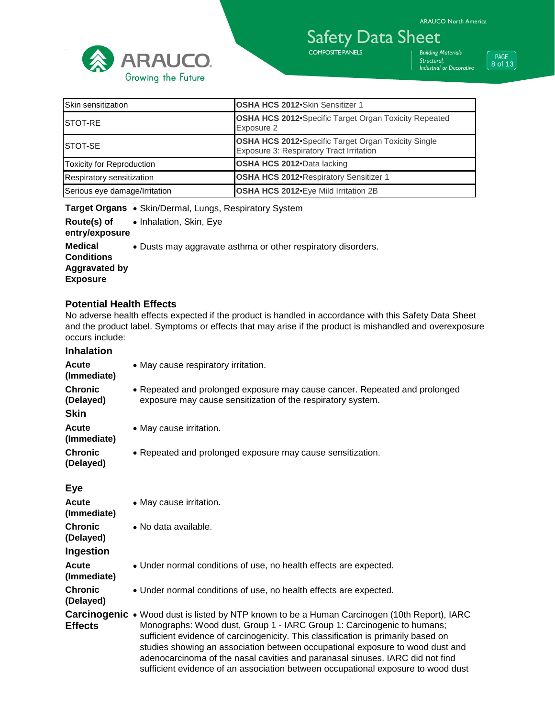

COMPOSITE PANELS *Building Materials*

*Structural, Industrial or Decorative* PAGE 8 of 13

| Skin sensitization            | OSHA HCS 2012 Skin Sensitizer 1                                                                 |
|-------------------------------|-------------------------------------------------------------------------------------------------|
| ISTOT-RE                      | OSHA HCS 2012 Specific Target Organ Toxicity Repeated<br>Exposure 2                             |
| STOT-SE                       | OSHA HCS 2012 Specific Target Organ Toxicity Single<br>Exposure 3: Respiratory Tract Irritation |
| Toxicity for Reproduction     | OSHA HCS 2012. Data lacking                                                                     |
| Respiratory sensitization     | OSHA HCS 2012·Respiratory Sensitizer 1                                                          |
| Serious eye damage/Irritation | <b>OSHA HCS 2012</b> Eye Mild Irritation 2B                                                     |

Target Organs . Skin/Dermal, Lungs, Respiratory System

| Route(s) of<br>entry/exposure                             | • Inhalation, Skin, Eye                                      |
|-----------------------------------------------------------|--------------------------------------------------------------|
| Medical<br>Conditions<br>Aggravated by<br><b>Exposure</b> | • Dusts may aggravate asthma or other respiratory disorders. |

#### **Potential Health Effects**

No adverse health effects expected if the product is handled in accordance with this Safety Data Sheet and the product label. Symptoms or effects that may arise if the product is mishandled and overexposure occurs include:

#### **Inhalation**

| 11 11 14 14 1 1 1 1 1               |                                                                                                                                                                                                                                                                                                                                                                                                                                                                                                                          |
|-------------------------------------|--------------------------------------------------------------------------------------------------------------------------------------------------------------------------------------------------------------------------------------------------------------------------------------------------------------------------------------------------------------------------------------------------------------------------------------------------------------------------------------------------------------------------|
| Acute<br>(Immediate)                | • May cause respiratory irritation.                                                                                                                                                                                                                                                                                                                                                                                                                                                                                      |
| <b>Chronic</b><br>(Delayed)<br>Skin | • Repeated and prolonged exposure may cause cancer. Repeated and prolonged<br>exposure may cause sensitization of the respiratory system.                                                                                                                                                                                                                                                                                                                                                                                |
| Acute<br>(Immediate)                | • May cause irritation.                                                                                                                                                                                                                                                                                                                                                                                                                                                                                                  |
| <b>Chronic</b><br>(Delayed)         | • Repeated and prolonged exposure may cause sensitization.                                                                                                                                                                                                                                                                                                                                                                                                                                                               |
| <b>Eye</b>                          |                                                                                                                                                                                                                                                                                                                                                                                                                                                                                                                          |
| Acute<br>(Immediate)                | • May cause irritation.                                                                                                                                                                                                                                                                                                                                                                                                                                                                                                  |
| <b>Chronic</b><br>(Delayed)         | • No data available.                                                                                                                                                                                                                                                                                                                                                                                                                                                                                                     |
| Ingestion                           |                                                                                                                                                                                                                                                                                                                                                                                                                                                                                                                          |
| Acute<br>(Immediate)                | • Under normal conditions of use, no health effects are expected.                                                                                                                                                                                                                                                                                                                                                                                                                                                        |
| Chronic<br>(Delayed)                | • Under normal conditions of use, no health effects are expected.                                                                                                                                                                                                                                                                                                                                                                                                                                                        |
| <b>Effects</b>                      | <b>Carcinogenic •</b> Wood dust is listed by NTP known to be a Human Carcinogen (10th Report), IARC<br>Monographs: Wood dust, Group 1 - IARC Group 1: Carcinogenic to humans;<br>sufficient evidence of carcinogenicity. This classification is primarily based on<br>studies showing an association between occupational exposure to wood dust and<br>adenocarcinoma of the nasal cavities and paranasal sinuses. IARC did not find<br>sufficient evidence of an association between occupational exposure to wood dust |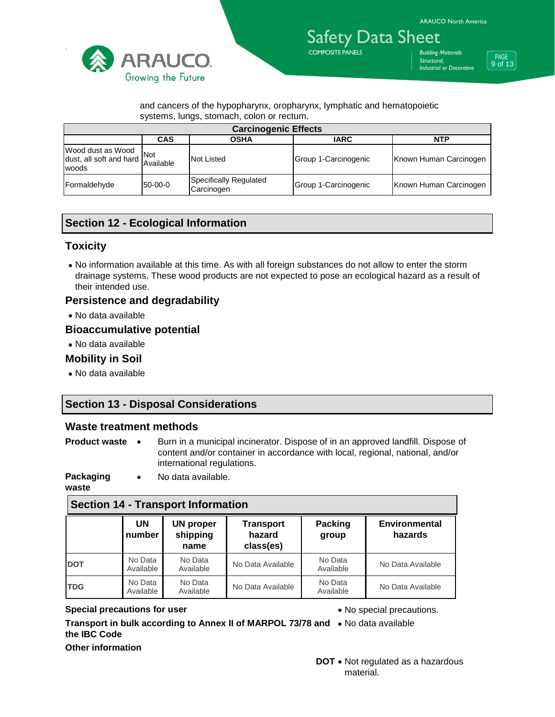

Safety Data Sheet COMPOSITE PANELS *Building Materials*

*Structural,*

*Industrial or Decorative*

#### PAGE 9 of 13

#### and cancers of the hypopharynx, oropharynx, lymphatic and hematopoietic systems, lungs, stomach, colon or rectum.

| <b>Carcinogenic Effects</b>                                                             |         |                                      |                      |                        |
|-----------------------------------------------------------------------------------------|---------|--------------------------------------|----------------------|------------------------|
|                                                                                         | CAS     | OSHA                                 | <b>IARC</b>          | <b>NTP</b>             |
| Wood dust as Wood<br>wood dust as wood<br>dust, all soft and hard<br>Available<br>woods |         | Not Listed                           | Group 1-Carcinogenic | Known Human Carcinogen |
| Formaldehyde                                                                            | 50-00-0 | Specifically Regulated<br>Carcinogen | Group 1-Carcinogenic | Known Human Carcinogen |

#### **Section 12 - Ecological Information**

#### **Toxicity**

 No information available at this time. As with all foreign substances do not allow to enter the storm drainage systems. These wood products are not expected to pose an ecological hazard as a result of their intended use.

#### **Persistence and degradability**

No data available

#### **Bioaccumulative potential**

No data available

#### **Mobility in Soil**

No data available

#### **Section 13 - Disposal Considerations**

#### **Waste treatment methods**

- **Product waste** Burn in a municipal incinerator. Dispose of in an approved landfill. Dispose of content and/or container in accordance with local, regional, national, and/or international regulations.
- **Packaging**  No data available.

**waste**

### **Section 14 - Transport Information**

| $\sim$     |                      |                                      |                                         |                         |                                 |
|------------|----------------------|--------------------------------------|-----------------------------------------|-------------------------|---------------------------------|
|            | UN<br>number         | <b>UN proper</b><br>shipping<br>name | <b>Transport</b><br>hazard<br>class(es) | <b>Packing</b><br>group | <b>Environmental</b><br>hazards |
| <b>DOT</b> | No Data<br>Available | No Data<br>Available                 | No Data Available                       | No Data<br>Available    | No Data Available               |
| <b>TDG</b> | No Data<br>Available | No Data<br>Available                 | No Data Available                       | No Data<br>Available    | No Data Available               |

#### **Special precautions for user No special precautions. (a) No special precautions.**

**Transport in bulk according to Annex II of MARPOL 73/78 and • No data available the IBC Code**

**Other information**

**DOT** • Not regulated as a hazardous material.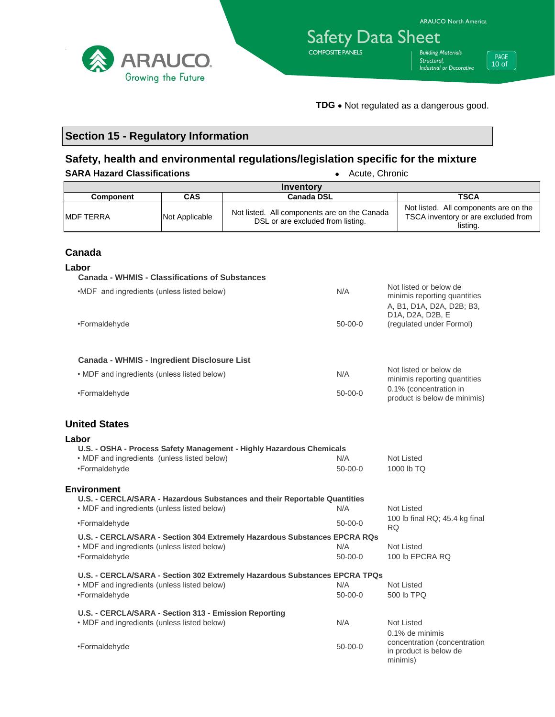

TDG • Not regulated as a dangerous good.

#### **Section 15 - Regulatory Information**

### **Safety, health and environmental regulations/legislation specific for the mixture**

**SARA Hazard Classifications CLASS CONSTRANT CONSTRANT OF ACUTE, Chronic** 

| Inventory                                                                                            |                                                                      |                                                                                   |                                 |                                                        |                                                                                          |  |  |
|------------------------------------------------------------------------------------------------------|----------------------------------------------------------------------|-----------------------------------------------------------------------------------|---------------------------------|--------------------------------------------------------|------------------------------------------------------------------------------------------|--|--|
| <b>Component</b>                                                                                     | CAS                                                                  | <b>Canada DSL</b>                                                                 |                                 |                                                        | <b>TSCA</b>                                                                              |  |  |
| <b>MDF TERRA</b>                                                                                     | Not Applicable                                                       | Not listed. All components are on the Canada<br>DSL or are excluded from listing. |                                 |                                                        | Not listed. All components are on the<br>TSCA inventory or are excluded from<br>listing. |  |  |
| Canada                                                                                               |                                                                      |                                                                                   |                                 |                                                        |                                                                                          |  |  |
| Labor<br><b>Canada - WHMIS - Classifications of Substances</b>                                       |                                                                      |                                                                                   |                                 |                                                        |                                                                                          |  |  |
| •MDF and ingredients (unless listed below)                                                           |                                                                      |                                                                                   | N/A                             |                                                        | Not listed or below de<br>minimis reporting quantities<br>A, B1, D1A, D2A, D2B; B3,      |  |  |
| •Formaldehyde                                                                                        |                                                                      |                                                                                   | $50 - 00 - 0$                   |                                                        | D1A, D2A, D2B, E<br>(regulated under Formol)                                             |  |  |
| Canada - WHMIS - Ingredient Disclosure List                                                          |                                                                      |                                                                                   |                                 |                                                        |                                                                                          |  |  |
| • MDF and ingredients (unless listed below)                                                          |                                                                      |                                                                                   | N/A                             |                                                        | Not listed or below de<br>minimis reporting quantities                                   |  |  |
| •Formaldehyde                                                                                        |                                                                      |                                                                                   | $50 - 00 - 0$                   | 0.1% (concentration in<br>product is below de minimis) |                                                                                          |  |  |
| <b>United States</b>                                                                                 |                                                                      |                                                                                   |                                 |                                                        |                                                                                          |  |  |
| Labor                                                                                                |                                                                      |                                                                                   |                                 |                                                        |                                                                                          |  |  |
| • MDF and ingredients (unless listed below)<br>•Formaldehyde                                         | U.S. - OSHA - Process Safety Management - Highly Hazardous Chemicals | N/A<br>$50 - 00 - 0$                                                              | <b>Not Listed</b><br>1000 lb TQ |                                                        |                                                                                          |  |  |
| <b>Environment</b>                                                                                   |                                                                      |                                                                                   |                                 |                                                        |                                                                                          |  |  |
| • MDF and ingredients (unless listed below)                                                          |                                                                      | U.S. - CERCLA/SARA - Hazardous Substances and their Reportable Quantities         | N/A                             |                                                        | <b>Not Listed</b>                                                                        |  |  |
| •Formaldehyde                                                                                        |                                                                      |                                                                                   | $50 - 00 - 0$                   | RQ.                                                    | 100 lb final RQ; 45.4 kg final                                                           |  |  |
|                                                                                                      |                                                                      | U.S. - CERCLA/SARA - Section 304 Extremely Hazardous Substances EPCRA RQs         |                                 |                                                        |                                                                                          |  |  |
| • MDF and ingredients (unless listed below)<br>•Formaldehyde                                         |                                                                      |                                                                                   | N/A<br>$50 - 00 - 0$            |                                                        | Not Listed<br>100 lb EPCRA RQ                                                            |  |  |
|                                                                                                      |                                                                      | U.S. - CERCLA/SARA - Section 302 Extremely Hazardous Substances EPCRA TPQs        |                                 |                                                        |                                                                                          |  |  |
| • MDF and ingredients (unless listed below)<br>•Formaldehyde                                         |                                                                      |                                                                                   | N/A<br>$50 - 00 - 0$            |                                                        | Not Listed<br>500 lb TPQ                                                                 |  |  |
| U.S. - CERCLA/SARA - Section 313 - Emission Reporting<br>• MDF and ingredients (unless listed below) |                                                                      |                                                                                   | N/A                             |                                                        | Not Listed<br>0.1% de minimis                                                            |  |  |
| •Formaldehyde                                                                                        |                                                                      |                                                                                   | $50 - 00 - 0$                   |                                                        | concentration (concentration<br>in product is below de<br>minimis)                       |  |  |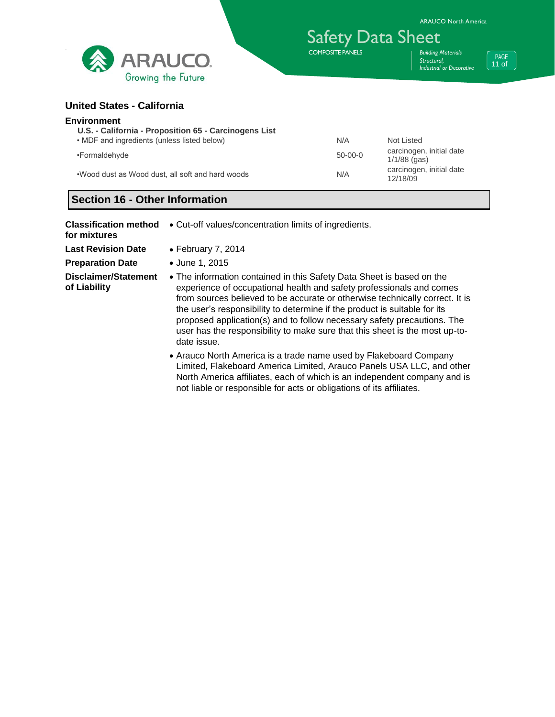

Safety Data Sheet COMPOSITE PANELS *Building Materials*

*Structural, Industrial or Decorative*



#### **United States - California**

#### **Environment**

| U.S. - California - Proposition 65 - Carcinogens List<br>• MDF and ingredients (unless listed below) | N/A       | Not Listed                                 |
|------------------------------------------------------------------------------------------------------|-----------|--------------------------------------------|
| •Formaldehyde                                                                                        | $50-00-0$ | carcinogen, initial date<br>$1/1/88$ (gas) |
| •Wood dust as Wood dust, all soft and hard woods                                                     | N/A       | carcinogen, initial date<br>12/18/09       |

#### **Section 16 - Other Information**

| <b>Classification method</b><br>for mixtures | • Cut-off values/concentration limits of ingredients.                                                                                                                                                                                                                                                                                                                                                                                                                               |  |  |
|----------------------------------------------|-------------------------------------------------------------------------------------------------------------------------------------------------------------------------------------------------------------------------------------------------------------------------------------------------------------------------------------------------------------------------------------------------------------------------------------------------------------------------------------|--|--|
| <b>Last Revision Date</b>                    | • February 7, 2014                                                                                                                                                                                                                                                                                                                                                                                                                                                                  |  |  |
| <b>Preparation Date</b>                      | • June 1, 2015                                                                                                                                                                                                                                                                                                                                                                                                                                                                      |  |  |
| <b>Disclaimer/Statement</b><br>of Liability  | • The information contained in this Safety Data Sheet is based on the<br>experience of occupational health and safety professionals and comes<br>from sources believed to be accurate or otherwise technically correct. It is<br>the user's responsibility to determine if the product is suitable for its<br>proposed application(s) and to follow necessary safety precautions. The<br>user has the responsibility to make sure that this sheet is the most up-to-<br>date issue. |  |  |
|                                              | • Arauco North America is a trade name used by Flakeboard Company<br>Limited, Flakeboard America Limited, Arauco Panels USA LLC, and other<br>North America affiliates, each of which is an independent company and is<br>not liable or responsible for acts or obligations of its affiliates.                                                                                                                                                                                      |  |  |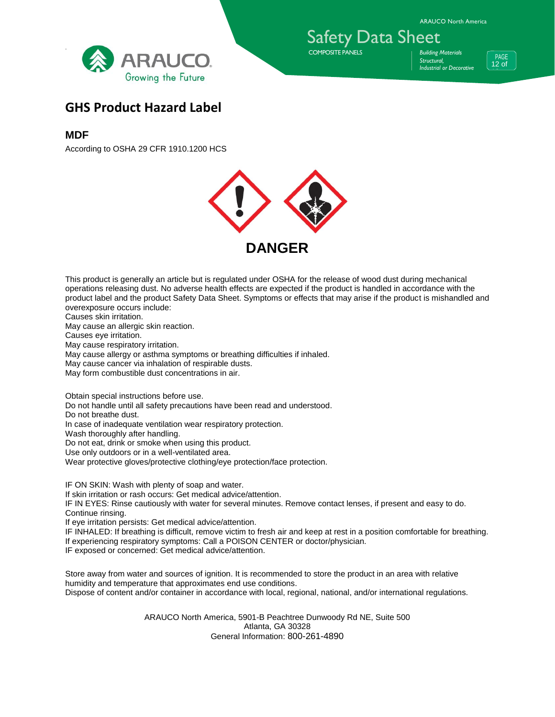

ARAUCO North America

# Safety Data Sheet

COMPOSITE PANELS *Building Materials*

*Structural, Industrial or Decorative*

PAGE 12 of 13

## **GHS Product Hazard Label**

#### **MDF**

According to OSHA 29 CFR 1910.1200 HCS



This product is generally an article but is regulated under OSHA for the release of wood dust during mechanical operations releasing dust. No adverse health effects are expected if the product is handled in accordance with the product label and the product Safety Data Sheet. Symptoms or effects that may arise if the product is mishandled and overexposure occurs include:

Causes skin irritation.

May cause an allergic skin reaction.

Causes eye irritation.

May cause respiratory irritation.

May cause allergy or asthma symptoms or breathing difficulties if inhaled.

May cause cancer via inhalation of respirable dusts.

May form combustible dust concentrations in air.

Obtain special instructions before use.

Do not handle until all safety precautions have been read and understood.

Do not breathe dust.

In case of inadequate ventilation wear respiratory protection.

Wash thoroughly after handling.

Do not eat, drink or smoke when using this product.

Use only outdoors or in a well-ventilated area.

Wear protective gloves/protective clothing/eye protection/face protection.

IF ON SKIN: Wash with plenty of soap and water.

If skin irritation or rash occurs: Get medical advice/attention.

IF IN EYES: Rinse cautiously with water for several minutes. Remove contact lenses, if present and easy to do. Continue rinsing.

If eye irritation persists: Get medical advice/attention.

IF INHALED: If breathing is difficult, remove victim to fresh air and keep at rest in a position comfortable for breathing. If experiencing respiratory symptoms: Call a POISON CENTER or doctor/physician.

IF exposed or concerned: Get medical advice/attention.

Store away from water and sources of ignition. It is recommended to store the product in an area with relative humidity and temperature that approximates end use conditions. Dispose of content and/or container in accordance with local, regional, national, and/or international regulations.

> ARAUCO North America, 5901-B Peachtree Dunwoody Rd NE, Suite 500 Atlanta, GA 30328 General Information: 800-261-4890